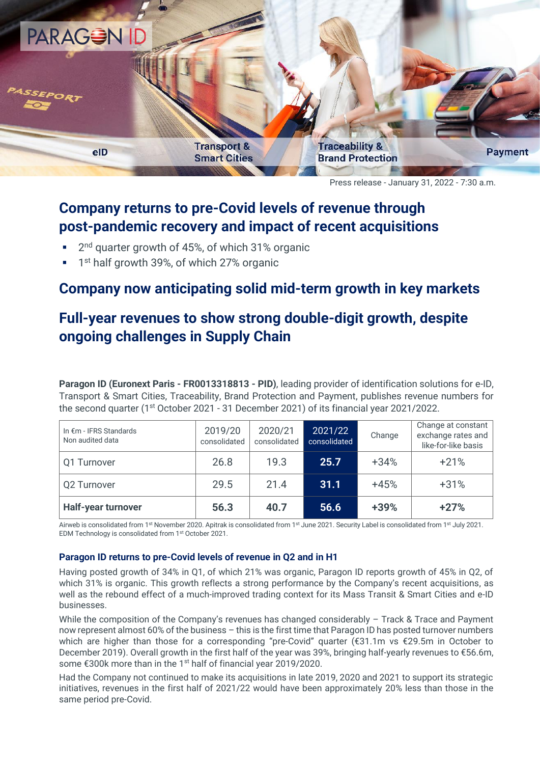

Press release - January 31, 2022 - 7:30 a.m.

## **Company returns to pre-Covid levels of revenue through post-pandemic recovery and impact of recent acquisitions**

- 2<sup>nd</sup> quarter growth of 45%, of which 31% organic
- **1** 1<sup>st</sup> half growth 39%, of which 27% organic

### **Company now anticipating solid mid-term growth in key markets**

# **Full-year revenues to show strong double-digit growth, despite ongoing challenges in Supply Chain**

**Paragon ID (Euronext Paris - FR0013318813 - PID)**, leading provider of identification solutions for e-ID, Transport & Smart Cities, Traceability, Brand Protection and Payment, publishes revenue numbers for the second quarter (1st October 2021 - 31 December 2021) of its financial year 2021/2022.

| In €m - IFRS Standards<br>Non audited data | 2019/20<br>consolidated | 2020/21<br>consolidated | 2021/22<br>consolidated | Change | Change at constant<br>exchange rates and<br>like-for-like basis |
|--------------------------------------------|-------------------------|-------------------------|-------------------------|--------|-----------------------------------------------------------------|
| Q1 Turnover                                | 26.8                    | 19.3                    | 25.7                    | $+34%$ | $+21%$                                                          |
| Q2 Turnover                                | 29.5                    | 21.4                    | 31.1                    | $+45%$ | $+31%$                                                          |
| <b>Half-year turnover</b>                  | 56.3                    | 40.7                    | 56.6                    | +39%   | $+27%$                                                          |

Airweb is consolidated from 1<sup>st</sup> November 2020. Apitrak is consolidated from 1<sup>st</sup> June 2021. Security Label is consolidated from 1<sup>st</sup> July 2021. EDM Technology is consolidated from 1st October 2021.

### **Paragon ID returns to pre-Covid levels of revenue in Q2 and in H1**

Having posted growth of 34% in Q1, of which 21% was organic, Paragon ID reports growth of 45% in Q2, of which 31% is organic. This growth reflects a strong performance by the Company's recent acquisitions, as well as the rebound effect of a much-improved trading context for its Mass Transit & Smart Cities and e-ID businesses.

While the composition of the Company's revenues has changed considerably - Track & Trace and Payment now represent almost 60% of the business – this is the first time that Paragon ID has posted turnover numbers which are higher than those for a corresponding "pre-Covid" quarter (€31.1m vs €29.5m in October to December 2019). Overall growth in the first half of the year was 39%, bringing half-yearly revenues to €56.6m, some €300k more than in the 1<sup>st</sup> half of financial year 2019/2020.

Had the Company not continued to make its acquisitions in late 2019, 2020 and 2021 to support its strategic initiatives, revenues in the first half of 2021/22 would have been approximately 20% less than those in the same period pre-Covid.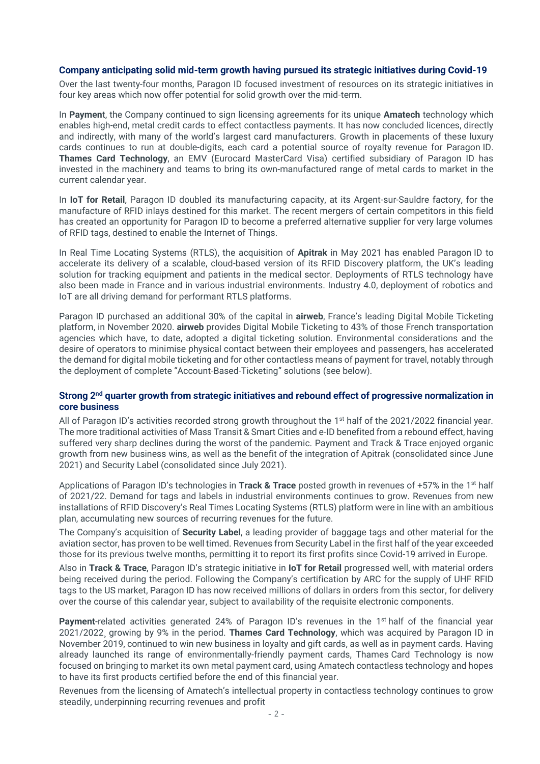#### **Company anticipating solid mid-term growth having pursued its strategic initiatives during Covid-19**

Over the last twenty-four months, Paragon ID focused investment of resources on its strategic initiatives in four key areas which now offer potential for solid growth over the mid-term.

In **Paymen**t, the Company continued to sign licensing agreements for its unique **Amatech** technology which enables high-end, metal credit cards to effect contactless payments. It has now concluded licences, directly and indirectly, with many of the world's largest card manufacturers. Growth in placements of these luxury cards continues to run at double-digits, each card a potential source of royalty revenue for Paragon ID. **Thames Card Technology**, an EMV (Eurocard MasterCard Visa) certified subsidiary of Paragon ID has invested in the machinery and teams to bring its own-manufactured range of metal cards to market in the current calendar year.

In **IoT for Retail**, Paragon ID doubled its manufacturing capacity, at its Argent-sur-Sauldre factory, for the manufacture of RFID inlays destined for this market. The recent mergers of certain competitors in this field has created an opportunity for Paragon ID to become a preferred alternative supplier for very large volumes of RFID tags, destined to enable the Internet of Things.

In Real Time Locating Systems (RTLS), the acquisition of **Apitrak** in May 2021 has enabled Paragon ID to accelerate its delivery of a scalable, cloud-based version of its RFID Discovery platform, the UK's leading solution for tracking equipment and patients in the medical sector. Deployments of RTLS technology have also been made in France and in various industrial environments. Industry 4.0, deployment of robotics and IoT are all driving demand for performant RTLS platforms.

Paragon ID purchased an additional 30% of the capital in **airweb**, France's leading Digital Mobile Ticketing platform, in November 2020. **airweb** provides Digital Mobile Ticketing to 43% of those French transportation agencies which have, to date, adopted a digital ticketing solution. Environmental considerations and the desire of operators to minimise physical contact between their employees and passengers, has accelerated the demand for digital mobile ticketing and for other contactless means of payment for travel, notably through the deployment of complete "Account-Based-Ticketing" solutions (see below).

#### Strong 2<sup>nd</sup> quarter growth from strategic initiatives and rebound effect of progressive normalization in **core business**

All of Paragon ID's activities recorded strong growth throughout the 1<sup>st</sup> half of the 2021/2022 financial year. The more traditional activities of Mass Transit & Smart Cities and e-ID benefited from a rebound effect, having suffered very sharp declines during the worst of the pandemic. Payment and Track & Trace enjoyed organic growth from new business wins, as well as the benefit of the integration of Apitrak (consolidated since June 2021) and Security Label (consolidated since July 2021).

Applications of Paragon ID's technologies in **Track & Trace** posted growth in revenues of +57% in the 1<sup>st</sup> half of 2021/22. Demand for tags and labels in industrial environments continues to grow. Revenues from new installations of RFID Discovery's Real Times Locating Systems (RTLS) platform were in line with an ambitious plan, accumulating new sources of recurring revenues for the future.

The Company's acquisition of **Security Label**, a leading provider of baggage tags and other material for the aviation sector, has proven to be well timed. Revenues from Security Label in the first half of the year exceeded those for its previous twelve months, permitting it to report its first profits since Covid-19 arrived in Europe.

Also in **Track & Trace**, Paragon ID's strategic initiative in **IoT for Retail** progressed well, with material orders being received during the period. Following the Company's certification by ARC for the supply of UHF RFID tags to the US market, Paragon ID has now received millions of dollars in orders from this sector, for delivery over the course of this calendar year, subject to availability of the requisite electronic components.

Payment-related activities generated 24% of Paragon ID's revenues in the 1<sup>st</sup> half of the financial year 2021/2022¸ growing by 9% in the period. **Thames Card Technology**, which was acquired by Paragon ID in November 2019, continued to win new business in loyalty and gift cards, as well as in payment cards. Having already launched its range of environmentally-friendly payment cards, Thames Card Technology is now focused on bringing to market its own metal payment card, using Amatech contactless technology and hopes to have its first products certified before the end of this financial year.

Revenues from the licensing of Amatech's intellectual property in contactless technology continues to grow steadily, underpinning recurring revenues and profit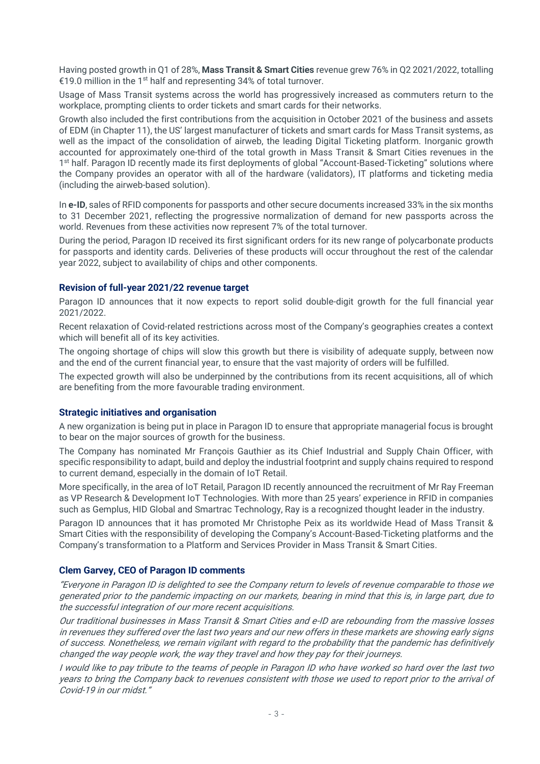Having posted growth in Q1 of 28%, **Mass Transit & Smart Cities** revenue grew 76% in Q2 2021/2022, totalling €19.0 million in the 1<sup>st</sup> half and representing 34% of total turnover.

Usage of Mass Transit systems across the world has progressively increased as commuters return to the workplace, prompting clients to order tickets and smart cards for their networks.

Growth also included the first contributions from the acquisition in October 2021 of the business and assets of EDM (in Chapter 11), the US' largest manufacturer of tickets and smart cards for Mass Transit systems, as well as the impact of the consolidation of airweb, the leading Digital Ticketing platform. Inorganic growth accounted for approximately one-third of the total growth in Mass Transit & Smart Cities revenues in the 1<sup>st</sup> half. Paragon ID recently made its first deployments of global "Account-Based-Ticketing" solutions where the Company provides an operator with all of the hardware (validators), IT platforms and ticketing media (including the airweb-based solution).

In **e-ID**, sales of RFID components for passports and other secure documents increased 33% in the six months to 31 December 2021, reflecting the progressive normalization of demand for new passports across the world. Revenues from these activities now represent 7% of the total turnover.

During the period, Paragon ID received its first significant orders for its new range of polycarbonate products for passports and identity cards. Deliveries of these products will occur throughout the rest of the calendar year 2022, subject to availability of chips and other components.

#### **Revision of full-year 2021/22 revenue target**

Paragon ID announces that it now expects to report solid double-digit growth for the full financial year 2021/2022.

Recent relaxation of Covid-related restrictions across most of the Company's geographies creates a context which will benefit all of its key activities.

The ongoing shortage of chips will slow this growth but there is visibility of adequate supply, between now and the end of the current financial year, to ensure that the vast majority of orders will be fulfilled.

The expected growth will also be underpinned by the contributions from its recent acquisitions, all of which are benefiting from the more favourable trading environment.

#### **Strategic initiatives and organisation**

A new organization is being put in place in Paragon ID to ensure that appropriate managerial focus is brought to bear on the major sources of growth for the business.

The Company has nominated Mr François Gauthier as its Chief Industrial and Supply Chain Officer, with specific responsibility to adapt, build and deploy the industrial footprint and supply chains required to respond to current demand, especially in the domain of IoT Retail.

More specifically, in the area of IoT Retail, Paragon ID recently announced the recruitment of Mr Ray Freeman as VP Research & Development IoT Technologies. With more than 25 years' experience in RFID in companies such as Gemplus, HID Global and Smartrac Technology, Ray is a recognized thought leader in the industry.

Paragon ID announces that it has promoted Mr Christophe Peix as its worldwide Head of Mass Transit & Smart Cities with the responsibility of developing the Company's Account-Based-Ticketing platforms and the Company's transformation to a Platform and Services Provider in Mass Transit & Smart Cities.

#### **Clem Garvey, CEO of Paragon ID comments**

"Everyone in Paragon ID is delighted to see the Company return to levels of revenue comparable to those we generated prior to the pandemic impacting on our markets, bearing in mind that this is, in large part, due to the successful integration of our more recent acquisitions.

Our traditional businesses in Mass Transit & Smart Cities and e-ID are rebounding from the massive losses in revenues they suffered over the last two years and our new offers in these markets are showing early signs of success. Nonetheless, we remain vigilant with regard to the probability that the pandemic has definitively changed the way people work, the way they travel and how they pay for their journeys.

I would like to pay tribute to the teams of people in Paragon ID who have worked so hard over the last two years to bring the Company back to revenues consistent with those we used to report prior to the arrival of Covid-19 in our midst."